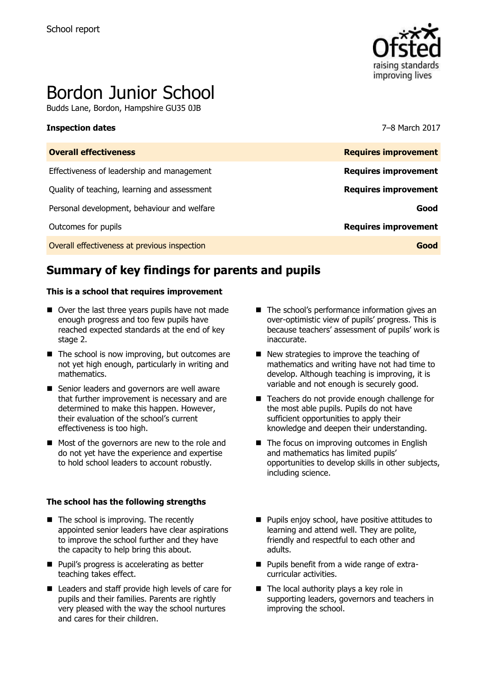

# Bordon Junior School

Budds Lane, Bordon, Hampshire GU35 0JB

#### **Inspection dates** 7–8 March 2017

| <b>Overall effectiveness</b>                 | <b>Requires improvement</b> |
|----------------------------------------------|-----------------------------|
| Effectiveness of leadership and management   | <b>Requires improvement</b> |
| Quality of teaching, learning and assessment | <b>Requires improvement</b> |
| Personal development, behaviour and welfare  | Good                        |
| Outcomes for pupils                          | <b>Requires improvement</b> |
| Overall effectiveness at previous inspection | Good                        |
|                                              |                             |

# **Summary of key findings for parents and pupils**

#### **This is a school that requires improvement**

- Over the last three years pupils have not made enough progress and too few pupils have reached expected standards at the end of key stage 2.
- $\blacksquare$  The school is now improving, but outcomes are not yet high enough, particularly in writing and mathematics.
- Senior leaders and governors are well aware that further improvement is necessary and are determined to make this happen. However, their evaluation of the school's current effectiveness is too high.
- Most of the governors are new to the role and do not yet have the experience and expertise to hold school leaders to account robustly.

#### **The school has the following strengths**

- The school is improving. The recently appointed senior leaders have clear aspirations to improve the school further and they have the capacity to help bring this about.
- **Pupil's progress is accelerating as better** teaching takes effect.
- Leaders and staff provide high levels of care for pupils and their families. Parents are rightly very pleased with the way the school nurtures and cares for their children.
- The school's performance information gives an over-optimistic view of pupils' progress. This is because teachers' assessment of pupils' work is inaccurate.
- New strategies to improve the teaching of mathematics and writing have not had time to develop. Although teaching is improving, it is variable and not enough is securely good.
- Teachers do not provide enough challenge for the most able pupils. Pupils do not have sufficient opportunities to apply their knowledge and deepen their understanding.
- $\blacksquare$  The focus on improving outcomes in English and mathematics has limited pupils' opportunities to develop skills in other subjects, including science.
- **Pupils enjoy school, have positive attitudes to** learning and attend well. They are polite, friendly and respectful to each other and adults.
- **Pupils benefit from a wide range of extra**curricular activities.
- The local authority plays a key role in supporting leaders, governors and teachers in improving the school.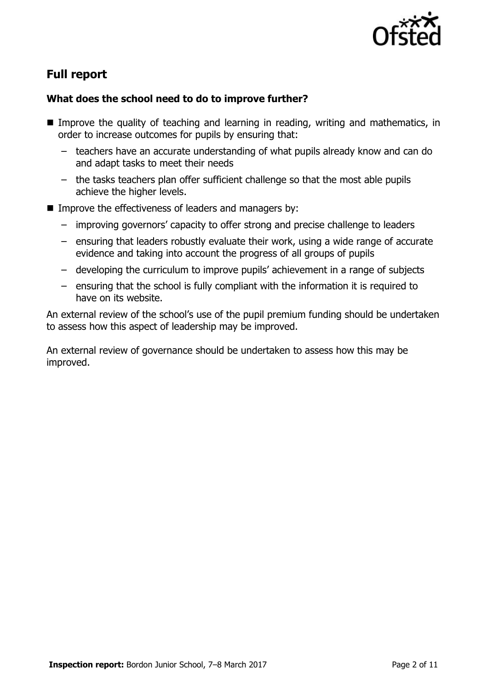

# **Full report**

### **What does the school need to do to improve further?**

- **Improve the quality of teaching and learning in reading, writing and mathematics, in** order to increase outcomes for pupils by ensuring that:
	- teachers have an accurate understanding of what pupils already know and can do and adapt tasks to meet their needs
	- the tasks teachers plan offer sufficient challenge so that the most able pupils achieve the higher levels.
- **IMPROVE the effectiveness of leaders and managers by:** 
	- improving governors' capacity to offer strong and precise challenge to leaders
	- ensuring that leaders robustly evaluate their work, using a wide range of accurate evidence and taking into account the progress of all groups of pupils
	- developing the curriculum to improve pupils' achievement in a range of subjects
	- ensuring that the school is fully compliant with the information it is required to have on its website.

An external review of the school's use of the pupil premium funding should be undertaken to assess how this aspect of leadership may be improved.

An external review of governance should be undertaken to assess how this may be improved.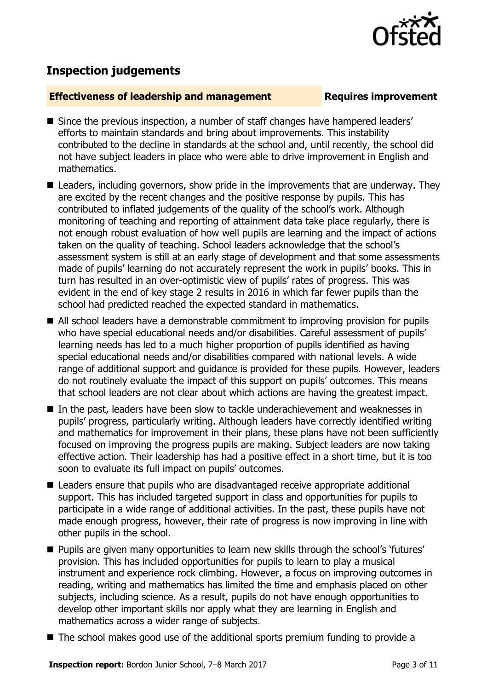

# **Inspection judgements**

#### **Effectiveness of leadership and management Requires improvement**

- Since the previous inspection, a number of staff changes have hampered leaders' efforts to maintain standards and bring about improvements. This instability contributed to the decline in standards at the school and, until recently, the school did not have subject leaders in place who were able to drive improvement in English and mathematics.
- Leaders, including governors, show pride in the improvements that are underway. They are excited by the recent changes and the positive response by pupils. This has contributed to inflated judgements of the quality of the school's work. Although monitoring of teaching and reporting of attainment data take place regularly, there is not enough robust evaluation of how well pupils are learning and the impact of actions taken on the quality of teaching. School leaders acknowledge that the school's assessment system is still at an early stage of development and that some assessments made of pupils' learning do not accurately represent the work in pupils' books. This in turn has resulted in an over-optimistic view of pupils' rates of progress. This was evident in the end of key stage 2 results in 2016 in which far fewer pupils than the school had predicted reached the expected standard in mathematics.
- All school leaders have a demonstrable commitment to improving provision for pupils who have special educational needs and/or disabilities. Careful assessment of pupils' learning needs has led to a much higher proportion of pupils identified as having special educational needs and/or disabilities compared with national levels. A wide range of additional support and guidance is provided for these pupils. However, leaders do not routinely evaluate the impact of this support on pupils' outcomes. This means that school leaders are not clear about which actions are having the greatest impact.
- In the past, leaders have been slow to tackle underachievement and weaknesses in pupils' progress, particularly writing. Although leaders have correctly identified writing and mathematics for improvement in their plans, these plans have not been sufficiently focused on improving the progress pupils are making. Subject leaders are now taking effective action. Their leadership has had a positive effect in a short time, but it is too soon to evaluate its full impact on pupils' outcomes.
- Leaders ensure that pupils who are disadvantaged receive appropriate additional support. This has included targeted support in class and opportunities for pupils to participate in a wide range of additional activities. In the past, these pupils have not made enough progress, however, their rate of progress is now improving in line with other pupils in the school.
- Pupils are given many opportunities to learn new skills through the school's 'futures' provision. This has included opportunities for pupils to learn to play a musical instrument and experience rock climbing. However, a focus on improving outcomes in reading, writing and mathematics has limited the time and emphasis placed on other subjects, including science. As a result, pupils do not have enough opportunities to develop other important skills nor apply what they are learning in English and mathematics across a wider range of subjects.
- The school makes good use of the additional sports premium funding to provide a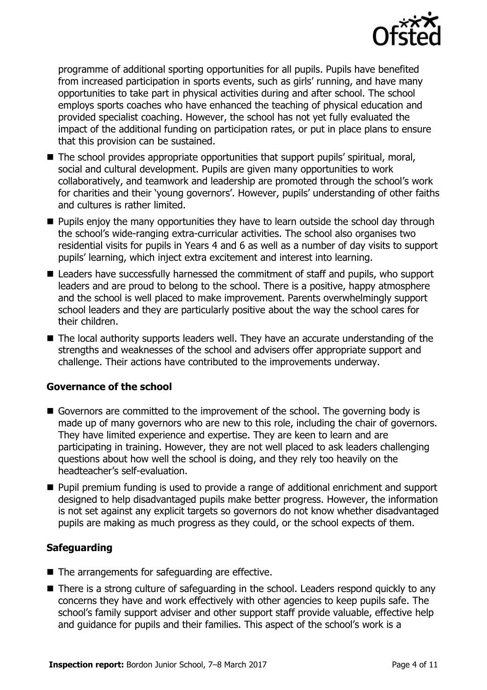

programme of additional sporting opportunities for all pupils. Pupils have benefited from increased participation in sports events, such as girls' running, and have many opportunities to take part in physical activities during and after school. The school employs sports coaches who have enhanced the teaching of physical education and provided specialist coaching. However, the school has not yet fully evaluated the impact of the additional funding on participation rates, or put in place plans to ensure that this provision can be sustained.

- The school provides appropriate opportunities that support pupils' spiritual, moral, social and cultural development. Pupils are given many opportunities to work collaboratively, and teamwork and leadership are promoted through the school's work for charities and their 'young governors'. However, pupils' understanding of other faiths and cultures is rather limited.
- **Pupils enjoy the many opportunities they have to learn outside the school day through** the school's wide-ranging extra-curricular activities. The school also organises two residential visits for pupils in Years 4 and 6 as well as a number of day visits to support pupils' learning, which inject extra excitement and interest into learning.
- Leaders have successfully harnessed the commitment of staff and pupils, who support leaders and are proud to belong to the school. There is a positive, happy atmosphere and the school is well placed to make improvement. Parents overwhelmingly support school leaders and they are particularly positive about the way the school cares for their children.
- The local authority supports leaders well. They have an accurate understanding of the strengths and weaknesses of the school and advisers offer appropriate support and challenge. Their actions have contributed to the improvements underway.

### **Governance of the school**

- Governors are committed to the improvement of the school. The governing body is made up of many governors who are new to this role, including the chair of governors. They have limited experience and expertise. They are keen to learn and are participating in training. However, they are not well placed to ask leaders challenging questions about how well the school is doing, and they rely too heavily on the headteacher's self-evaluation.
- **Pupil premium funding is used to provide a range of additional enrichment and support** designed to help disadvantaged pupils make better progress. However, the information is not set against any explicit targets so governors do not know whether disadvantaged pupils are making as much progress as they could, or the school expects of them.

### **Safeguarding**

- $\blacksquare$  The arrangements for safeguarding are effective.
- There is a strong culture of safeguarding in the school. Leaders respond quickly to any concerns they have and work effectively with other agencies to keep pupils safe. The school's family support adviser and other support staff provide valuable, effective help and guidance for pupils and their families. This aspect of the school's work is a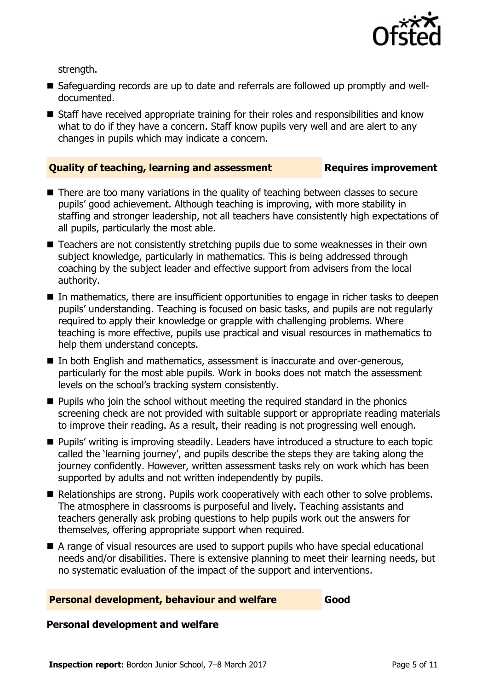

strength.

- Safeguarding records are up to date and referrals are followed up promptly and welldocumented.
- Staff have received appropriate training for their roles and responsibilities and know what to do if they have a concern. Staff know pupils very well and are alert to any changes in pupils which may indicate a concern.

#### **Quality of teaching, learning and assessment Requires improvement**

- There are too many variations in the quality of teaching between classes to secure pupils' good achievement. Although teaching is improving, with more stability in staffing and stronger leadership, not all teachers have consistently high expectations of all pupils, particularly the most able.
- Teachers are not consistently stretching pupils due to some weaknesses in their own subject knowledge, particularly in mathematics. This is being addressed through coaching by the subject leader and effective support from advisers from the local authority.
- In mathematics, there are insufficient opportunities to engage in richer tasks to deepen pupils' understanding. Teaching is focused on basic tasks, and pupils are not regularly required to apply their knowledge or grapple with challenging problems. Where teaching is more effective, pupils use practical and visual resources in mathematics to help them understand concepts.
- In both English and mathematics, assessment is inaccurate and over-generous, particularly for the most able pupils. Work in books does not match the assessment levels on the school's tracking system consistently.
- **Pupils who join the school without meeting the required standard in the phonics** screening check are not provided with suitable support or appropriate reading materials to improve their reading. As a result, their reading is not progressing well enough.
- **Pupils'** writing is improving steadily. Leaders have introduced a structure to each topic called the 'learning journey', and pupils describe the steps they are taking along the journey confidently. However, written assessment tasks rely on work which has been supported by adults and not written independently by pupils.
- Relationships are strong. Pupils work cooperatively with each other to solve problems. The atmosphere in classrooms is purposeful and lively. Teaching assistants and teachers generally ask probing questions to help pupils work out the answers for themselves, offering appropriate support when required.
- A range of visual resources are used to support pupils who have special educational needs and/or disabilities. There is extensive planning to meet their learning needs, but no systematic evaluation of the impact of the support and interventions.

#### **Personal development, behaviour and welfare Good**

#### **Personal development and welfare**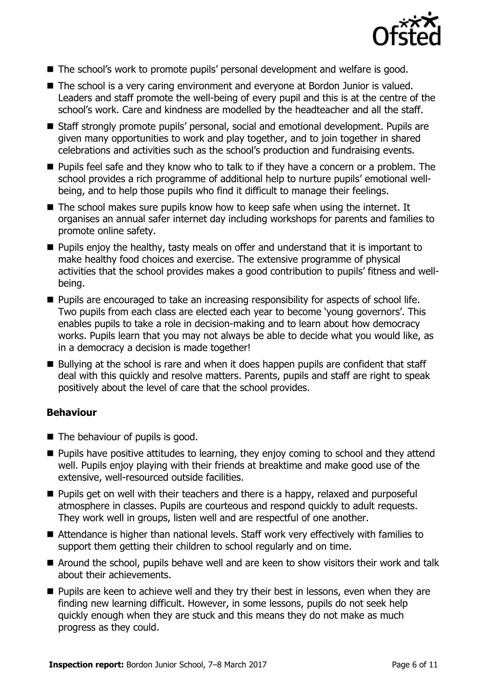

- The school's work to promote pupils' personal development and welfare is good.
- The school is a very caring environment and everyone at Bordon Junior is valued. Leaders and staff promote the well-being of every pupil and this is at the centre of the school's work. Care and kindness are modelled by the headteacher and all the staff.
- Staff strongly promote pupils' personal, social and emotional development. Pupils are given many opportunities to work and play together, and to join together in shared celebrations and activities such as the school's production and fundraising events.
- **Pupils feel safe and they know who to talk to if they have a concern or a problem. The** school provides a rich programme of additional help to nurture pupils' emotional wellbeing, and to help those pupils who find it difficult to manage their feelings.
- The school makes sure pupils know how to keep safe when using the internet. It organises an annual safer internet day including workshops for parents and families to promote online safety.
- $\blacksquare$  Pupils enjoy the healthy, tasty meals on offer and understand that it is important to make healthy food choices and exercise. The extensive programme of physical activities that the school provides makes a good contribution to pupils' fitness and wellbeing.
- **Pupils are encouraged to take an increasing responsibility for aspects of school life.** Two pupils from each class are elected each year to become 'young governors'. This enables pupils to take a role in decision-making and to learn about how democracy works. Pupils learn that you may not always be able to decide what you would like, as in a democracy a decision is made together!
- Bullying at the school is rare and when it does happen pupils are confident that staff deal with this quickly and resolve matters. Parents, pupils and staff are right to speak positively about the level of care that the school provides.

### **Behaviour**

- $\blacksquare$  The behaviour of pupils is good.
- **Pupils have positive attitudes to learning, they enjoy coming to school and they attend** well. Pupils enjoy playing with their friends at breaktime and make good use of the extensive, well-resourced outside facilities.
- **Pupils get on well with their teachers and there is a happy, relaxed and purposeful** atmosphere in classes. Pupils are courteous and respond quickly to adult requests. They work well in groups, listen well and are respectful of one another.
- Attendance is higher than national levels. Staff work very effectively with families to support them getting their children to school regularly and on time.
- Around the school, pupils behave well and are keen to show visitors their work and talk about their achievements.
- **Pupils are keen to achieve well and they try their best in lessons, even when they are** finding new learning difficult. However, in some lessons, pupils do not seek help quickly enough when they are stuck and this means they do not make as much progress as they could.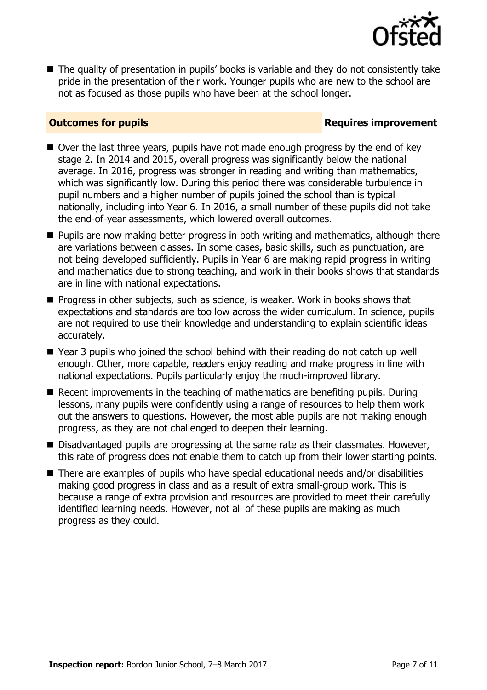

■ The quality of presentation in pupils' books is variable and they do not consistently take pride in the presentation of their work. Younger pupils who are new to the school are not as focused as those pupils who have been at the school longer.

### **Outcomes for pupils Requires improvement**

- Over the last three years, pupils have not made enough progress by the end of key stage 2. In 2014 and 2015, overall progress was significantly below the national average. In 2016, progress was stronger in reading and writing than mathematics, which was significantly low. During this period there was considerable turbulence in pupil numbers and a higher number of pupils joined the school than is typical nationally, including into Year 6. In 2016, a small number of these pupils did not take the end-of-year assessments, which lowered overall outcomes.
- **Pupils are now making better progress in both writing and mathematics, although there** are variations between classes. In some cases, basic skills, such as punctuation, are not being developed sufficiently. Pupils in Year 6 are making rapid progress in writing and mathematics due to strong teaching, and work in their books shows that standards are in line with national expectations.
- **Progress in other subjects, such as science, is weaker. Work in books shows that** expectations and standards are too low across the wider curriculum. In science, pupils are not required to use their knowledge and understanding to explain scientific ideas accurately.
- Year 3 pupils who joined the school behind with their reading do not catch up well enough. Other, more capable, readers enjoy reading and make progress in line with national expectations. Pupils particularly enjoy the much-improved library.
- Recent improvements in the teaching of mathematics are benefiting pupils. During lessons, many pupils were confidently using a range of resources to help them work out the answers to questions. However, the most able pupils are not making enough progress, as they are not challenged to deepen their learning.
- Disadvantaged pupils are progressing at the same rate as their classmates. However, this rate of progress does not enable them to catch up from their lower starting points.
- There are examples of pupils who have special educational needs and/or disabilities making good progress in class and as a result of extra small-group work. This is because a range of extra provision and resources are provided to meet their carefully identified learning needs. However, not all of these pupils are making as much progress as they could.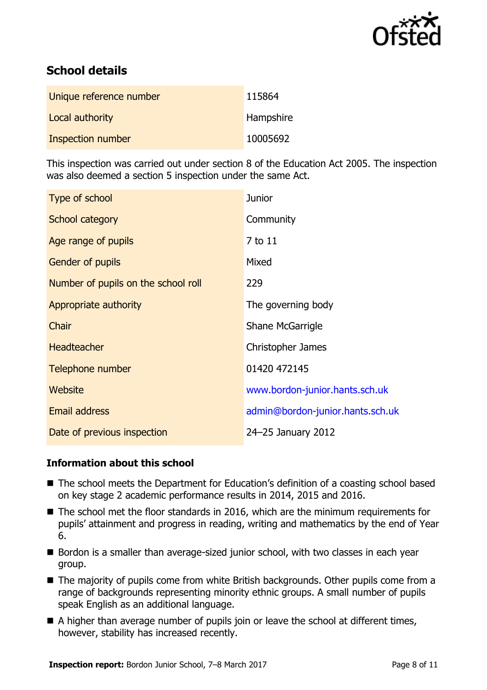

# **School details**

| Unique reference number | 115864    |
|-------------------------|-----------|
| Local authority         | Hampshire |
| Inspection number       | 10005692  |

This inspection was carried out under section 8 of the Education Act 2005. The inspection was also deemed a section 5 inspection under the same Act.

| Type of school                      | <b>Junior</b>                    |
|-------------------------------------|----------------------------------|
| School category                     | Community                        |
| Age range of pupils                 | 7 to 11                          |
| <b>Gender of pupils</b>             | Mixed                            |
| Number of pupils on the school roll | 229                              |
| Appropriate authority               | The governing body               |
| Chair                               | Shane McGarrigle                 |
| <b>Headteacher</b>                  | <b>Christopher James</b>         |
| Telephone number                    | 01420 472145                     |
| Website                             | www.bordon-junior.hants.sch.uk   |
| Email address                       | admin@bordon-junior.hants.sch.uk |
| Date of previous inspection         | 24-25 January 2012               |

### **Information about this school**

- The school meets the Department for Education's definition of a coasting school based on key stage 2 academic performance results in 2014, 2015 and 2016.
- The school met the floor standards in 2016, which are the minimum requirements for pupils' attainment and progress in reading, writing and mathematics by the end of Year 6.
- Bordon is a smaller than average-sized junior school, with two classes in each year group.
- The majority of pupils come from white British backgrounds. Other pupils come from a range of backgrounds representing minority ethnic groups. A small number of pupils speak English as an additional language.
- A higher than average number of pupils join or leave the school at different times, however, stability has increased recently.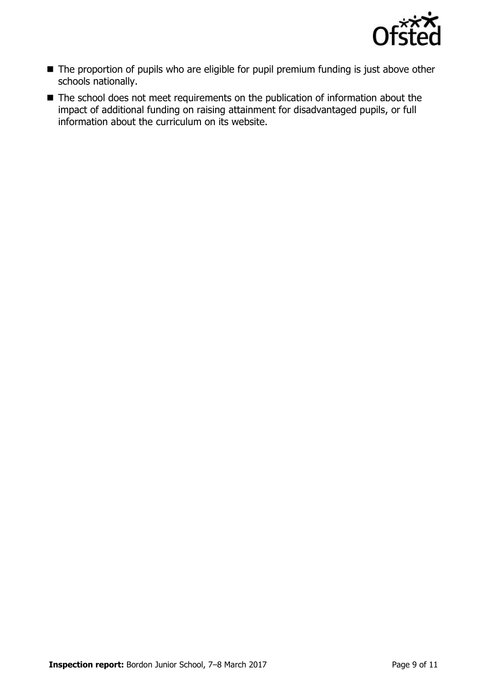

- The proportion of pupils who are eligible for pupil premium funding is just above other schools nationally.
- The school does not meet requirements on the publication of information about the impact of additional funding on raising attainment for disadvantaged pupils, or full information about the curriculum on its website.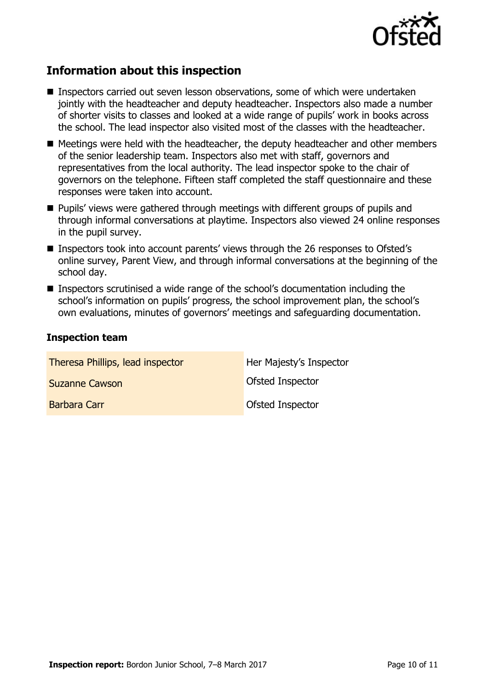

# **Information about this inspection**

- Inspectors carried out seven lesson observations, some of which were undertaken jointly with the headteacher and deputy headteacher. Inspectors also made a number of shorter visits to classes and looked at a wide range of pupils' work in books across the school. The lead inspector also visited most of the classes with the headteacher.
- $\blacksquare$  Meetings were held with the headteacher, the deputy headteacher and other members of the senior leadership team. Inspectors also met with staff, governors and representatives from the local authority. The lead inspector spoke to the chair of governors on the telephone. Fifteen staff completed the staff questionnaire and these responses were taken into account.
- **Pupils' views were gathered through meetings with different groups of pupils and** through informal conversations at playtime. Inspectors also viewed 24 online responses in the pupil survey.
- Inspectors took into account parents' views through the 26 responses to Ofsted's online survey, Parent View, and through informal conversations at the beginning of the school day.
- Inspectors scrutinised a wide range of the school's documentation including the school's information on pupils' progress, the school improvement plan, the school's own evaluations, minutes of governors' meetings and safeguarding documentation.

#### **Inspection team**

| Theresa Phillips, lead inspector | Her Majesty's Inspector |
|----------------------------------|-------------------------|
| <b>Suzanne Cawson</b>            | Ofsted Inspector        |
| Barbara Carr                     | Ofsted Inspector        |